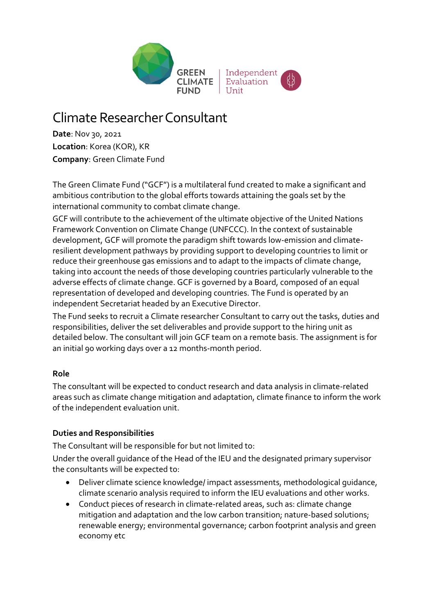

## Climate Researcher Consultant

**Date**: Nov 30, 2021 **Location**: Korea (KOR), KR **Company**: Green Climate Fund

The Green Climate Fund ("GCF") is a multilateral fund created to make a significant and ambitious contribution to the global efforts towards attaining the goals set by the international community to combat climate change.

GCF will contribute to the achievement of the ultimate objective of the United Nations Framework Convention on Climate Change (UNFCCC). In the context of sustainable development, GCF will promote the paradigm shift towards low-emission and climateresilient development pathways by providing support to developing countries to limit or reduce their greenhouse gas emissions and to adapt to the impacts of climate change, taking into account the needs of those developing countries particularly vulnerable to the adverse effects of climate change. GCF is governed by a Board, composed of an equal representation of developed and developing countries. The Fund is operated by an independent Secretariat headed by an Executive Director.

The Fund seeks to recruit a Climate researcher Consultant to carry out the tasks, duties and responsibilities, deliver the set deliverables and provide support to the hiring unit as detailed below. The consultant will join GCF team on a remote basis. The assignment is for an initial 90 working days over a 12 months-month period.

## **Role**

The consultant will be expected to conduct research and data analysis in climate-related areas such as climate change mitigation and adaptation, climate finance to inform the work of the independent evaluation unit.

## **Duties and Responsibilities**

The Consultant will be responsible for but not limited to:

Under the overall guidance of the Head of the IEU and the designated primary supervisor the consultants will be expected to:

- Deliver climate science knowledge/ impact assessments, methodological guidance, climate scenario analysis required to inform the IEU evaluations and other works.
- Conduct pieces of research in climate-related areas, such as: climate change mitigation and adaptation and the low carbon transition; nature-based solutions; renewable energy; environmental governance; carbon footprint analysis and green economy etc